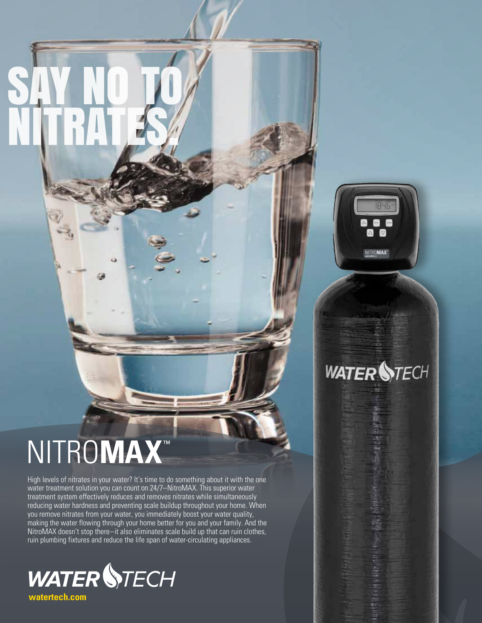# NITRO**MAX** ™

SAY NO TO

NITRATES.

High levels of nitrates in your water? It's time to do something about it with the one water treatment solution you can count on 24/7–NitroMAX. This superior water treatment system effectively reduces and removes nitrates while simultaneously reducing water hardness and preventing scale buildup throughout your home. When you remove nitrates from your water, you immediately boost your water quality, making the water flowing through your home better for you and your family. And the NitroMAX doesn't stop there–it also eliminates scale build up that can ruin clothes, ruin plumbing fixtures and reduce the life span of water-circulating appliances.



**IBHE** 魯  $\Box$ 窩 NITROMAX<sup>\*</sup>

# **WATER STECH**